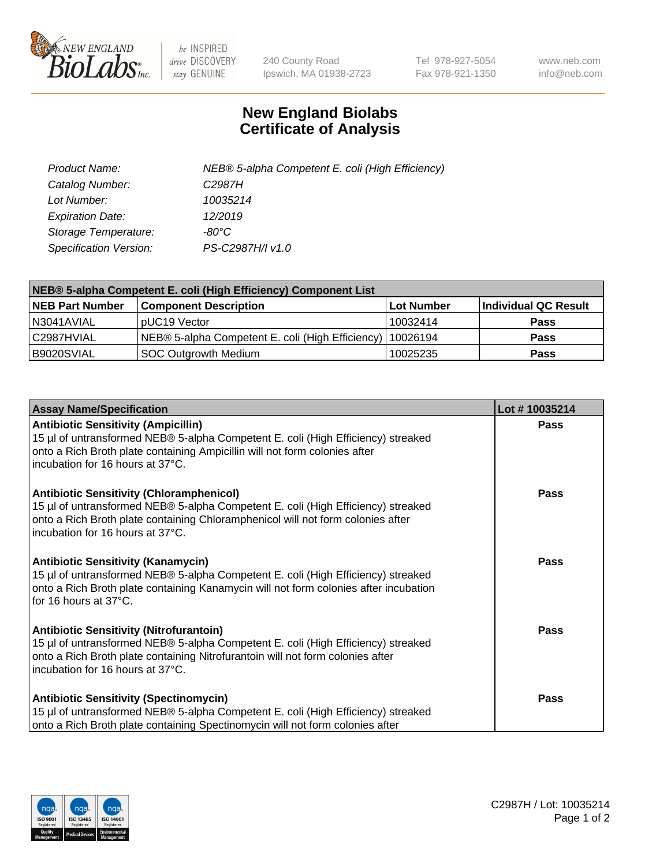

 $be$  INSPIRED drive DISCOVERY stay GENUINE

240 County Road Ipswich, MA 01938-2723 Tel 978-927-5054 Fax 978-921-1350 www.neb.com info@neb.com

## **New England Biolabs Certificate of Analysis**

| Product Name:           | NEB® 5-alpha Competent E. coli (High Efficiency) |
|-------------------------|--------------------------------------------------|
| Catalog Number:         | C <sub>2987</sub> H                              |
| Lot Number:             | 10035214                                         |
| <b>Expiration Date:</b> | 12/2019                                          |
| Storage Temperature:    | -80°C                                            |
| Specification Version:  | PS-C2987H/I v1.0                                 |

| NEB® 5-alpha Competent E. coli (High Efficiency) Component List |                                                             |                   |                      |  |
|-----------------------------------------------------------------|-------------------------------------------------------------|-------------------|----------------------|--|
| <b>NEB Part Number</b>                                          | <b>Component Description</b>                                | <b>Lot Number</b> | Individual QC Result |  |
| N3041AVIAL                                                      | pUC19 Vector                                                | 10032414          | <b>Pass</b>          |  |
| C2987HVIAL                                                      | NEB® 5-alpha Competent E. coli (High Efficiency)   10026194 |                   | <b>Pass</b>          |  |
| B9020SVIAL                                                      | <b>SOC Outgrowth Medium</b>                                 | 10025235          | <b>Pass</b>          |  |

| <b>Assay Name/Specification</b>                                                                                                                                                                                                                            | Lot #10035214 |
|------------------------------------------------------------------------------------------------------------------------------------------------------------------------------------------------------------------------------------------------------------|---------------|
| <b>Antibiotic Sensitivity (Ampicillin)</b><br>15 µl of untransformed NEB® 5-alpha Competent E. coli (High Efficiency) streaked<br>onto a Rich Broth plate containing Ampicillin will not form colonies after<br>incubation for 16 hours at 37°C.           | <b>Pass</b>   |
| <b>Antibiotic Sensitivity (Chloramphenicol)</b><br>15 µl of untransformed NEB® 5-alpha Competent E. coli (High Efficiency) streaked<br>onto a Rich Broth plate containing Chloramphenicol will not form colonies after<br>incubation for 16 hours at 37°C. | Pass          |
| Antibiotic Sensitivity (Kanamycin)<br>15 µl of untransformed NEB® 5-alpha Competent E. coli (High Efficiency) streaked<br>onto a Rich Broth plate containing Kanamycin will not form colonies after incubation<br>for 16 hours at 37°C.                    | Pass          |
| <b>Antibiotic Sensitivity (Nitrofurantoin)</b><br>15 µl of untransformed NEB® 5-alpha Competent E. coli (High Efficiency) streaked<br>onto a Rich Broth plate containing Nitrofurantoin will not form colonies after<br>incubation for 16 hours at 37°C.   | <b>Pass</b>   |
| <b>Antibiotic Sensitivity (Spectinomycin)</b><br>15 µl of untransformed NEB® 5-alpha Competent E. coli (High Efficiency) streaked<br>onto a Rich Broth plate containing Spectinomycin will not form colonies after                                         | Pass          |